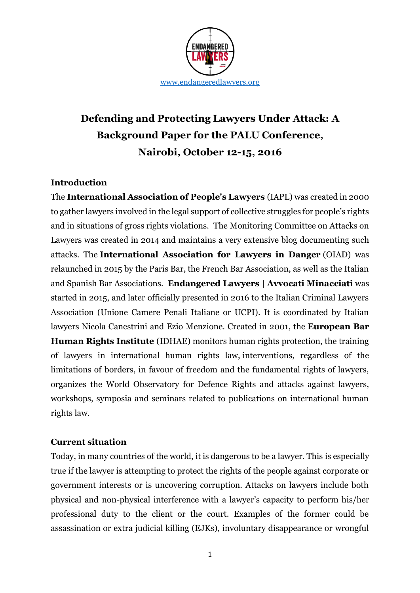

# **Defending and Protecting Lawyers Under Attack: A Background Paper for the PALU Conference, Nairobi, October 12-15, 2016**

#### **Introduction**

The **International Association of People's Lawyers** (IAPL) was created in 2000 to gather lawyers involved in the legal support of collective struggles for people's rights and in situations of gross rights violations. The Monitoring Committee on Attacks on Lawyers was created in 2014 and maintains a very extensive blog documenting such attacks. The **International Association for Lawyers in Danger** (OIAD) was relaunched in 2015 by the Paris Bar, the French Bar Association, as well as the Italian and Spanish Bar Associations. **Endangered Lawyers | Avvocati Minacciati** was started in 2015, and later officially presented in 2016 to the Italian Criminal Lawyers Association (Unione Camere Penali Italiane or UCPI). It is coordinated by Italian lawyers Nicola Canestrini and Ezio Menzione. Created in 2001, the **European Bar Human Rights Institute** (IDHAE) monitors human rights protection, the training of lawyers in international human rights law, interventions, regardless of the limitations of borders, in favour of freedom and the fundamental rights of lawyers, organizes the World Observatory for Defence Rights and attacks against lawyers, workshops, symposia and seminars related to publications on international human rights law.

#### **Current situation**

Today, in many countries of the world, it is dangerous to be a lawyer. This is especially true if the lawyer is attempting to protect the rights of the people against corporate or government interests or is uncovering corruption. Attacks on lawyers include both physical and non-physical interference with a lawyer's capacity to perform his/her professional duty to the client or the court. Examples of the former could be assassination or extra judicial killing (EJKs), involuntary disappearance or wrongful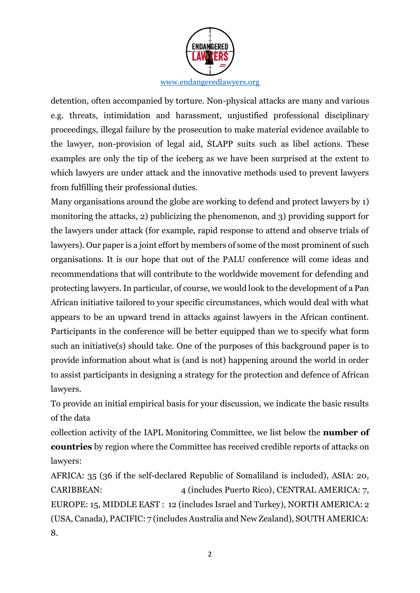

detention, often accompanied by torture. Non-physical attacks are many and various e.g. threats, intimidation and harassment, unjustified professional disciplinary proceedings, illegal failure by the prosecution to make material evidence available to the lawyer, non-provision of legal aid, SLAPP suits such as libel actions. These examples are only the tip of the iceberg as we have been surprised at the extent to which lawyers are under attack and the innovative methods used to prevent lawyers from fulfilling their professional duties.

Many organisations around the globe are working to defend and protect lawyers by 1) monitoring the attacks, 2) publicizing the phenomenon, and 3) providing support for the lawyers under attack (for example, rapid response to attend and observe trials of lawyers). Our paper is a joint effort by members of some of the most prominent of such organisations. It is our hope that out of the PALU conference will come ideas and recommendations that will contribute to the worldwide movement for defending and protecting lawyers. In particular, of course, we would look to the development of a Pan African initiative tailored to your specific circumstances, which would deal with what appears to be an upward trend in attacks against lawyers in the African continent. Participants in the conference will be better equipped than we to specify what form such an initiative(s) should take. One of the purposes of this background paper is to provide information about what is (and is not) happening around the world in order to assist participants in designing a strategy for the protection and defence of African lawyers.

To provide an initial empirical basis for your discussion, we indicate the basic results of the data

collection activity of the IAPL Monitoring Committee, we list below the **number of countries** by region where the Committee has received credible reports of attacks on lawyers:

AFRICA: 35 (36 if the self-declared Republic of Somaliland is included), ASIA: 20, CARIBBEAN: 4 (includes Puerto Rico), CENTRAL AMERICA: 7, EUROPE: 15, MIDDLE EAST : 12 (includes Israel and Turkey), NORTH AMERICA: 2 (USA, Canada), PACIFIC: 7 (includes Australia and New Zealand), SOUTH AMERICA: 8.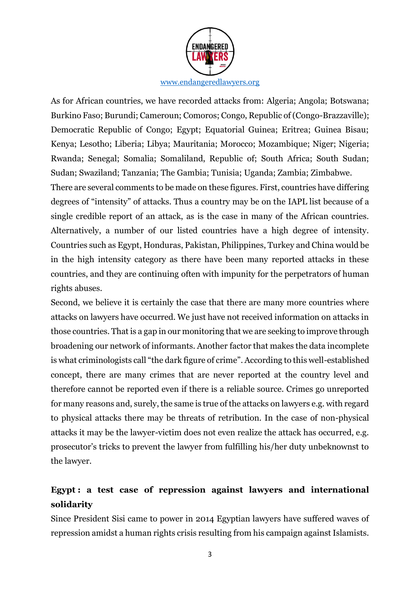

As for African countries, we have recorded attacks from: Algeria; Angola; Botswana; Burkino Faso; Burundi; Cameroun; Comoros; Congo, Republic of (Congo-Brazzaville); Democratic Republic of Congo; Egypt; Equatorial Guinea; Eritrea; Guinea Bisau; Kenya; Lesotho; Liberia; Libya; Mauritania; Morocco; Mozambique; Niger; Nigeria; Rwanda; Senegal; Somalia; Somaliland, Republic of; South Africa; South Sudan; Sudan; Swaziland; Tanzania; The Gambia; Tunisia; Uganda; Zambia; Zimbabwe.

There are several comments to be made on these figures. First, countries have differing degrees of "intensity" of attacks. Thus a country may be on the IAPL list because of a single credible report of an attack, as is the case in many of the African countries. Alternatively, a number of our listed countries have a high degree of intensity. Countries such as Egypt, Honduras, Pakistan, Philippines, Turkey and China would be in the high intensity category as there have been many reported attacks in these countries, and they are continuing often with impunity for the perpetrators of human rights abuses.

Second, we believe it is certainly the case that there are many more countries where attacks on lawyers have occurred. We just have not received information on attacks in those countries. That is a gap in our monitoring that we are seeking to improve through broadening our network of informants. Another factor that makes the data incomplete is what criminologists call "the dark figure of crime". According to this well-established concept, there are many crimes that are never reported at the country level and therefore cannot be reported even if there is a reliable source. Crimes go unreported for many reasons and, surely, the same is true of the attacks on lawyers e.g. with regard to physical attacks there may be threats of retribution. In the case of non-physical attacks it may be the lawyer-victim does not even realize the attack has occurred, e.g. prosecutor's tricks to prevent the lawyer from fulfilling his/her duty unbeknownst to the lawyer.

# **Egypt : a test case of repression against lawyers and international solidarity**

Since President Sisi came to power in 2014 Egyptian lawyers have suffered waves of repression amidst a human rights crisis resulting from his campaign against Islamists.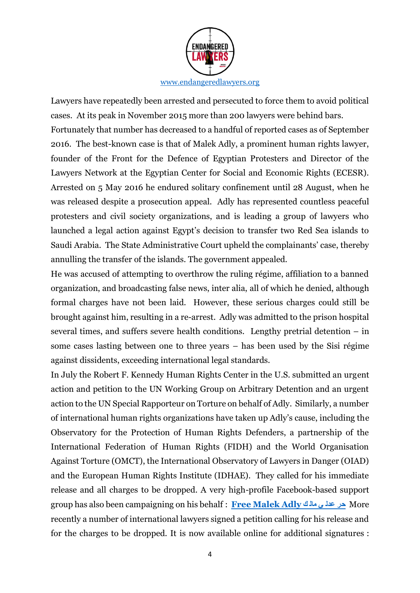

Lawyers have repeatedly been arrested and persecuted to force them to avoid political cases. At its peak in November 2015 more than 200 lawyers were behind bars. Fortunately that number has decreased to a handful of reported cases as of September 2016. The best-known case is that of Malek Adly, a prominent human rights lawyer, founder of the Front for the Defence of Egyptian Protesters and Director of the Lawyers Network at the Egyptian Center for Social and Economic Rights (ECESR). Arrested on 5 May 2016 he endured solitary confinement until 28 August, when he was released despite a prosecution appeal. Adly has represented countless peaceful protesters and civil society organizations, and is leading a group of lawyers who launched a legal action against Egypt's decision to transfer two Red Sea islands to Saudi Arabia. The State Administrative Court upheld the complainants' case, thereby annulling the transfer of the islands. The government appealed.

He was accused of attempting to overthrow the ruling régime, affiliation to a banned organization, and broadcasting false news, inter alia, all of which he denied, although formal charges have not been laid. However, these serious charges could still be brought against him, resulting in a re-arrest. Adly was admitted to the prison hospital several times, and suffers severe health conditions. Lengthy pretrial detention – in some cases lasting between one to three years – has been used by the Sisi régime against dissidents, exceeding international legal standards.

In July the Robert F. Kennedy Human Rights Center in the U.S. submitted an urgent action and petition to the UN Working Group on Arbitrary Detention and an urgent action to the UN Special Rapporteur on Torture on behalf of Adly. Similarly, a number of international human rights organizations have taken up Adly's cause, including the Observatory for the Protection of Human Rights Defenders, a partnership of the International Federation of Human Rights (FIDH) and the World Organisation Against Torture (OMCT), the International Observatory of Lawyers in Danger (OIAD) and the European Human Rights Institute (IDHAE). They called for his immediate release and all charges to be dropped. A very high-profile Facebook-based support group has also been campaigning on his behalf : **[Free Malek Adly](https://www.facebook.com/FreeMalekAdly/?fref=nf) ك مال ي عدل حر** More recently a number of international lawyers signed a petition calling for his release and for the charges to be dropped. It is now available online for additional signatures :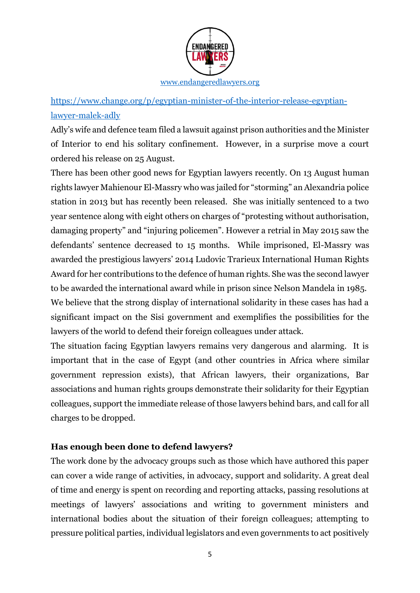

[https://www.change.org/p/egyptian-minister-of-the-interior-release-egyptian](https://www.change.org/p/egyptian-minister-of-the-interior-release-egyptian-lawyer-malek-adly)[lawyer-malek-adly](https://www.change.org/p/egyptian-minister-of-the-interior-release-egyptian-lawyer-malek-adly)

Adly's wife and defence team filed a lawsuit against prison authorities and the Minister of Interior to end his solitary confinement. However, in a surprise move a court ordered his release on 25 August.

There has been other good news for Egyptian lawyers recently. On 13 August human rights lawyer Mahienour El-Massry who was jailed for "storming" an Alexandria police station in 2013 but has recently been released. She was initially sentenced to a two year sentence along with eight others on charges of "protesting without authorisation, damaging property" and "injuring policemen". However a retrial in May 2015 saw the defendants' sentence decreased to 15 months. While imprisoned, El-Massry was awarded the prestigious lawyers' 2014 Ludovic Trarieux International Human Rights Award for her contributions to the defence of human rights. She was the second lawyer to be awarded the international award while in prison since Nelson Mandela in 1985.

We believe that the strong display of international solidarity in these cases has had a significant impact on the Sisi government and exemplifies the possibilities for the lawyers of the world to defend their foreign colleagues under attack.

The situation facing Egyptian lawyers remains very dangerous and alarming. It is important that in the case of Egypt (and other countries in Africa where similar government repression exists), that African lawyers, their organizations, Bar associations and human rights groups demonstrate their solidarity for their Egyptian colleagues, support the immediate release of those lawyers behind bars, and call for all charges to be dropped.

#### **Has enough been done to defend lawyers?**

The work done by the advocacy groups such as those which have authored this paper can cover a wide range of activities, in advocacy, support and solidarity. A great deal of time and energy is spent on recording and reporting attacks, passing resolutions at meetings of lawyers' associations and writing to government ministers and international bodies about the situation of their foreign colleagues; attempting to pressure political parties, individual legislators and even governments to act positively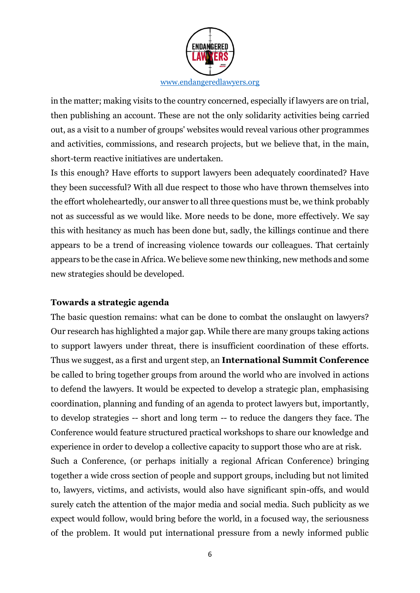

in the matter; making visits to the country concerned, especially if lawyers are on trial, then publishing an account. These are not the only solidarity activities being carried out, as a visit to a number of groups' websites would reveal various other programmes and activities, commissions, and research projects, but we believe that, in the main, short-term reactive initiatives are undertaken.

Is this enough? Have efforts to support lawyers been adequately coordinated? Have they been successful? With all due respect to those who have thrown themselves into the effort wholeheartedly, our answer to all three questions must be, we think probably not as successful as we would like. More needs to be done, more effectively. We say this with hesitancy as much has been done but, sadly, the killings continue and there appears to be a trend of increasing violence towards our colleagues. That certainly appears to be the case in Africa. We believe some new thinking, new methods and some new strategies should be developed.

#### **Towards a strategic agenda**

The basic question remains: what can be done to combat the onslaught on lawyers? Our research has highlighted a major gap. While there are many groups taking actions to support lawyers under threat, there is insufficient coordination of these efforts. Thus we suggest, as a first and urgent step, an **International Summit Conference** be called to bring together groups from around the world who are involved in actions to defend the lawyers. It would be expected to develop a strategic plan, emphasising coordination, planning and funding of an agenda to protect lawyers but, importantly, to develop strategies -- short and long term -- to reduce the dangers they face. The Conference would feature structured practical workshops to share our knowledge and experience in order to develop a collective capacity to support those who are at risk.

Such a Conference, (or perhaps initially a regional African Conference) bringing together a wide cross section of people and support groups, including but not limited to, lawyers, victims, and activists, would also have significant spin-offs, and would surely catch the attention of the major media and social media. Such publicity as we expect would follow, would bring before the world, in a focused way, the seriousness of the problem. It would put international pressure from a newly informed public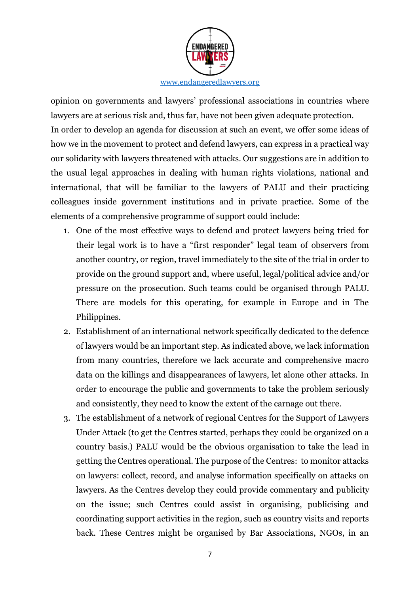

opinion on governments and lawyers' professional associations in countries where lawyers are at serious risk and, thus far, have not been given adequate protection. In order to develop an agenda for discussion at such an event, we offer some ideas of how we in the movement to protect and defend lawyers, can express in a practical way our solidarity with lawyers threatened with attacks. Our suggestions are in addition to the usual legal approaches in dealing with human rights violations, national and international, that will be familiar to the lawyers of PALU and their practicing colleagues inside government institutions and in private practice. Some of the elements of a comprehensive programme of support could include:

- 1. One of the most effective ways to defend and protect lawyers being tried for their legal work is to have a "first responder" legal team of observers from another country, or region, travel immediately to the site of the trial in order to provide on the ground support and, where useful, legal/political advice and/or pressure on the prosecution. Such teams could be organised through PALU. There are models for this operating, for example in Europe and in The Philippines.
- 2. Establishment of an international network specifically dedicated to the defence of lawyers would be an important step. As indicated above, we lack information from many countries, therefore we lack accurate and comprehensive macro data on the killings and disappearances of lawyers, let alone other attacks. In order to encourage the public and governments to take the problem seriously and consistently, they need to know the extent of the carnage out there.
- 3. The establishment of a network of regional Centres for the Support of Lawyers Under Attack (to get the Centres started, perhaps they could be organized on a country basis.) PALU would be the obvious organisation to take the lead in getting the Centres operational. The purpose of the Centres: to monitor attacks on lawyers: collect, record, and analyse information specifically on attacks on lawyers. As the Centres develop they could provide commentary and publicity on the issue; such Centres could assist in organising, publicising and coordinating support activities in the region, such as country visits and reports back. These Centres might be organised by Bar Associations, NGOs, in an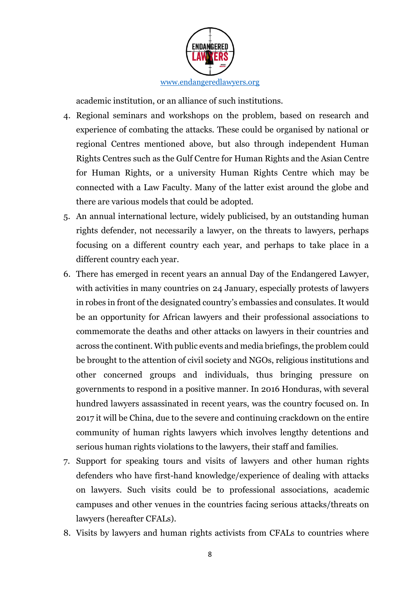

academic institution, or an alliance of such institutions.

- 4. Regional seminars and workshops on the problem, based on research and experience of combating the attacks. These could be organised by national or regional Centres mentioned above, but also through independent Human Rights Centres such as the Gulf Centre for Human Rights and the Asian Centre for Human Rights, or a university Human Rights Centre which may be connected with a Law Faculty. Many of the latter exist around the globe and there are various models that could be adopted.
- 5. An annual international lecture, widely publicised, by an outstanding human rights defender, not necessarily a lawyer, on the threats to lawyers, perhaps focusing on a different country each year, and perhaps to take place in a different country each year.
- 6. There has emerged in recent years an annual Day of the Endangered Lawyer, with activities in many countries on 24 January, especially protests of lawyers in robes in front of the designated country's embassies and consulates. It would be an opportunity for African lawyers and their professional associations to commemorate the deaths and other attacks on lawyers in their countries and across the continent. With public events and media briefings, the problem could be brought to the attention of civil society and NGOs, religious institutions and other concerned groups and individuals, thus bringing pressure on governments to respond in a positive manner. In 2016 Honduras, with several hundred lawyers assassinated in recent years, was the country focused on. In 2017 it will be China, due to the severe and continuing crackdown on the entire community of human rights lawyers which involves lengthy detentions and serious human rights violations to the lawyers, their staff and families.
- 7. Support for speaking tours and visits of lawyers and other human rights defenders who have first-hand knowledge/experience of dealing with attacks on lawyers. Such visits could be to professional associations, academic campuses and other venues in the countries facing serious attacks/threats on lawyers (hereafter CFALs).
- 8. Visits by lawyers and human rights activists from CFALs to countries where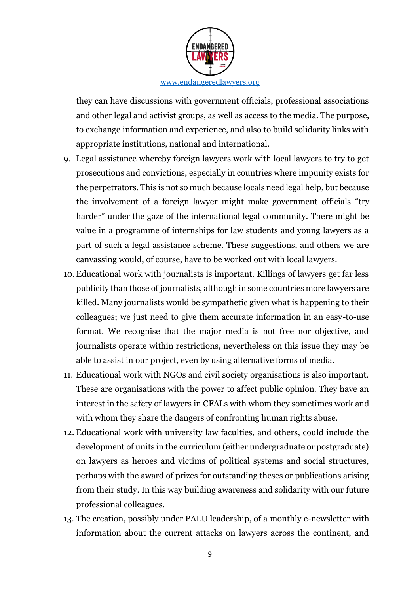

they can have discussions with government officials, professional associations and other legal and activist groups, as well as access to the media. The purpose, to exchange information and experience, and also to build solidarity links with appropriate institutions, national and international.

- 9. Legal assistance whereby foreign lawyers work with local lawyers to try to get prosecutions and convictions, especially in countries where impunity exists for the perpetrators. This is not so much because locals need legal help, but because the involvement of a foreign lawyer might make government officials "try harder" under the gaze of the international legal community. There might be value in a programme of internships for law students and young lawyers as a part of such a legal assistance scheme. These suggestions, and others we are canvassing would, of course, have to be worked out with local lawyers.
- 10. Educational work with journalists is important. Killings of lawyers get far less publicity than those of journalists, although in some countries more lawyers are killed. Many journalists would be sympathetic given what is happening to their colleagues; we just need to give them accurate information in an easy-to-use format. We recognise that the major media is not free nor objective, and journalists operate within restrictions, nevertheless on this issue they may be able to assist in our project, even by using alternative forms of media.
- 11. Educational work with NGOs and civil society organisations is also important. These are organisations with the power to affect public opinion. They have an interest in the safety of lawyers in CFALs with whom they sometimes work and with whom they share the dangers of confronting human rights abuse.
- 12. Educational work with university law faculties, and others, could include the development of units in the curriculum (either undergraduate or postgraduate) on lawyers as heroes and victims of political systems and social structures, perhaps with the award of prizes for outstanding theses or publications arising from their study. In this way building awareness and solidarity with our future professional colleagues.
- 13. The creation, possibly under PALU leadership, of a monthly e-newsletter with information about the current attacks on lawyers across the continent, and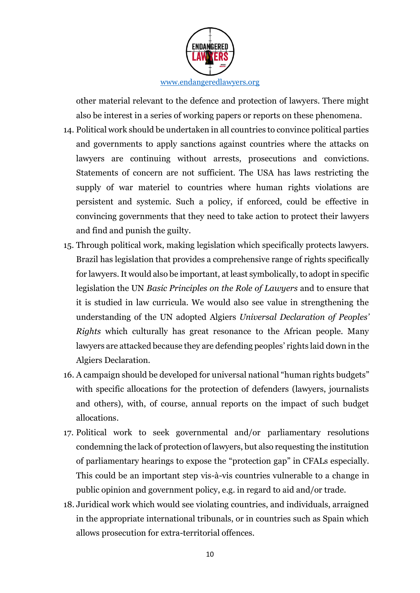

other material relevant to the defence and protection of lawyers. There might also be interest in a series of working papers or reports on these phenomena.

- 14. Political work should be undertaken in all countries to convince political parties and governments to apply sanctions against countries where the attacks on lawyers are continuing without arrests, prosecutions and convictions. Statements of concern are not sufficient. The USA has laws restricting the supply of war materiel to countries where human rights violations are persistent and systemic. Such a policy, if enforced, could be effective in convincing governments that they need to take action to protect their lawyers and find and punish the guilty.
- 15. Through political work, making legislation which specifically protects lawyers. Brazil has legislation that provides a comprehensive range of rights specifically for lawyers. It would also be important, at least symbolically, to adopt in specific legislation the UN *Basic Principles on the Role of Lawyers* and to ensure that it is studied in law curricula. We would also see value in strengthening the understanding of the UN adopted Algiers *Universal Declaration of Peoples' Rights* which culturally has great resonance to the African people. Many lawyers are attacked because they are defending peoples' rights laid down in the Algiers Declaration.
- 16. A campaign should be developed for universal national "human rights budgets" with specific allocations for the protection of defenders (lawyers, journalists and others), with, of course, annual reports on the impact of such budget allocations.
- 17. Political work to seek governmental and/or parliamentary resolutions condemning the lack of protection of lawyers, but also requesting the institution of parliamentary hearings to expose the "protection gap" in CFALs especially. This could be an important step vis-à-vis countries vulnerable to a change in public opinion and government policy, e.g. in regard to aid and/or trade.
- 18. Juridical work which would see violating countries, and individuals, arraigned in the appropriate international tribunals, or in countries such as Spain which allows prosecution for extra-territorial offences.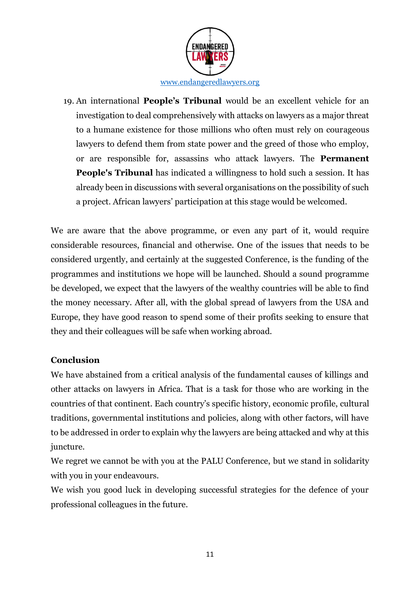

19. An international **People's Tribunal** would be an excellent vehicle for an investigation to deal comprehensively with attacks on lawyers as a major threat to a humane existence for those millions who often must rely on courageous lawyers to defend them from state power and the greed of those who employ, or are responsible for, assassins who attack lawyers. The **Permanent People's Tribunal** has indicated a willingness to hold such a session. It has already been in discussions with several organisations on the possibility of such a project. African lawyers' participation at this stage would be welcomed.

We are aware that the above programme, or even any part of it, would require considerable resources, financial and otherwise. One of the issues that needs to be considered urgently, and certainly at the suggested Conference, is the funding of the programmes and institutions we hope will be launched. Should a sound programme be developed, we expect that the lawyers of the wealthy countries will be able to find the money necessary. After all, with the global spread of lawyers from the USA and Europe, they have good reason to spend some of their profits seeking to ensure that they and their colleagues will be safe when working abroad.

#### **Conclusion**

We have abstained from a critical analysis of the fundamental causes of killings and other attacks on lawyers in Africa. That is a task for those who are working in the countries of that continent. Each country's specific history, economic profile, cultural traditions, governmental institutions and policies, along with other factors, will have to be addressed in order to explain why the lawyers are being attacked and why at this juncture.

We regret we cannot be with you at the PALU Conference, but we stand in solidarity with you in your endeavours.

We wish you good luck in developing successful strategies for the defence of your professional colleagues in the future.